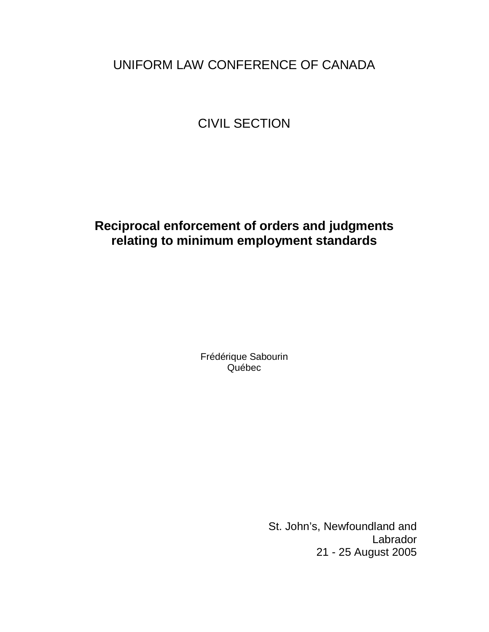# UNIFORM LAW CONFERENCE OF CANADA

# CIVIL SECTION

# **Reciprocal enforcement of orders and judgments relating to minimum employment standards**

Frédérique Sabourin Québec

> St. John's, Newfoundland and Labrador 21 - 25 August 2005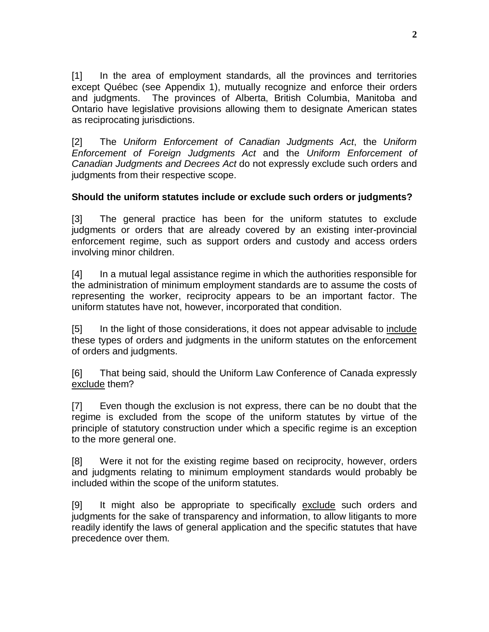[1] In the area of employment standards, all the provinces and territories except Québec (see Appendix 1), mutually recognize and enforce their orders and judgments. The provinces of Alberta, British Columbia, Manitoba and Ontario have legislative provisions allowing them to designate American states as reciprocating jurisdictions.

[2] The Uniform Enforcement of Canadian Judgments Act, the Uniform Enforcement of Foreign Judgments Act and the Uniform Enforcement of Canadian Judgments and Decrees Act do not expressly exclude such orders and judgments from their respective scope.

# **Should the uniform statutes include or exclude such orders or judgments?**

[3] The general practice has been for the uniform statutes to exclude judgments or orders that are already covered by an existing inter-provincial enforcement regime, such as support orders and custody and access orders involving minor children.

[4] In a mutual legal assistance regime in which the authorities responsible for the administration of minimum employment standards are to assume the costs of representing the worker, reciprocity appears to be an important factor. The uniform statutes have not, however, incorporated that condition.

[5] In the light of those considerations, it does not appear advisable to include these types of orders and judgments in the uniform statutes on the enforcement of orders and judgments.

[6] That being said, should the Uniform Law Conference of Canada expressly exclude them?

[7] Even though the exclusion is not express, there can be no doubt that the regime is excluded from the scope of the uniform statutes by virtue of the principle of statutory construction under which a specific regime is an exception to the more general one.

[8] Were it not for the existing regime based on reciprocity, however, orders and judgments relating to minimum employment standards would probably be included within the scope of the uniform statutes.

[9] It might also be appropriate to specifically exclude such orders and judgments for the sake of transparency and information, to allow litigants to more readily identify the laws of general application and the specific statutes that have precedence over them.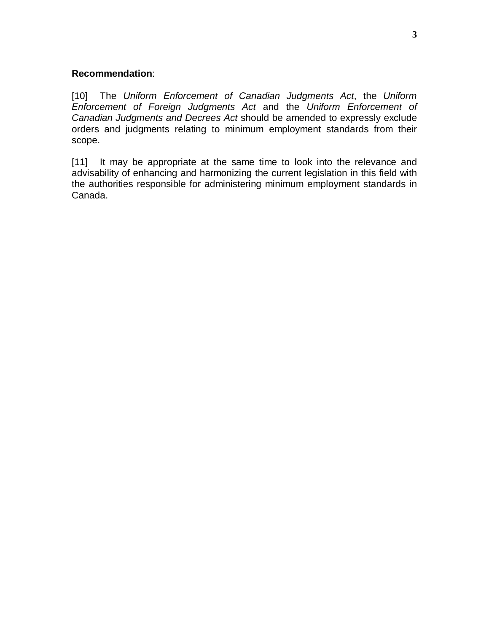## **Recommendation**:

[10] The Uniform Enforcement of Canadian Judgments Act, the Uniform Enforcement of Foreign Judgments Act and the Uniform Enforcement of Canadian Judgments and Decrees Act should be amended to expressly exclude orders and judgments relating to minimum employment standards from their scope.

[11] It may be appropriate at the same time to look into the relevance and advisability of enhancing and harmonizing the current legislation in this field with the authorities responsible for administering minimum employment standards in Canada.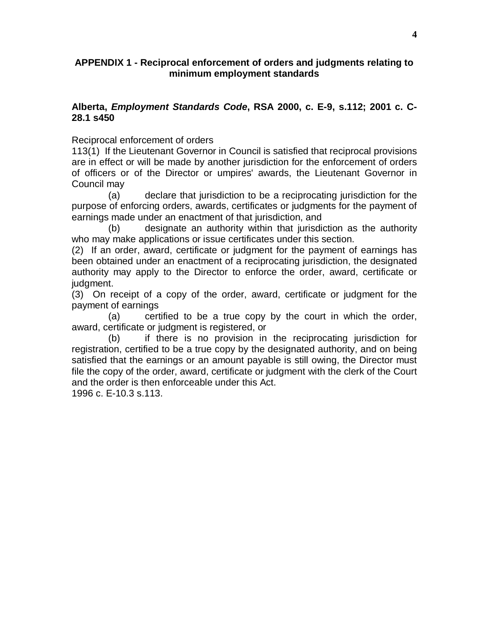## **APPENDIX 1 - Reciprocal enforcement of orders and judgments relating to minimum employment standards**

## **Alberta, Employment Standards Code, RSA 2000, c. E-9, s.112; 2001 c. C-28.1 s450**

Reciprocal enforcement of orders

113(1) If the Lieutenant Governor in Council is satisfied that reciprocal provisions are in effect or will be made by another jurisdiction for the enforcement of orders of officers or of the Director or umpires' awards, the Lieutenant Governor in Council may

(a) declare that jurisdiction to be a reciprocating jurisdiction for the purpose of enforcing orders, awards, certificates or judgments for the payment of earnings made under an enactment of that jurisdiction, and

(b) designate an authority within that jurisdiction as the authority who may make applications or issue certificates under this section.

(2) If an order, award, certificate or judgment for the payment of earnings has been obtained under an enactment of a reciprocating jurisdiction, the designated authority may apply to the Director to enforce the order, award, certificate or judament.

(3) On receipt of a copy of the order, award, certificate or judgment for the payment of earnings

(a) certified to be a true copy by the court in which the order, award, certificate or judgment is registered, or

(b) if there is no provision in the reciprocating jurisdiction for registration, certified to be a true copy by the designated authority, and on being satisfied that the earnings or an amount payable is still owing, the Director must file the copy of the order, award, certificate or judgment with the clerk of the Court and the order is then enforceable under this Act.

1996 c. E-10.3 s.113.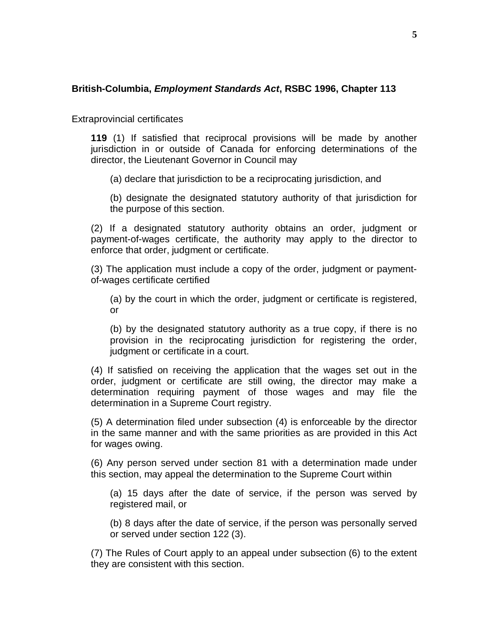## **British-Columbia, Employment Standards Act, RSBC 1996, Chapter 113**

Extraprovincial certificates

**119** (1) If satisfied that reciprocal provisions will be made by another jurisdiction in or outside of Canada for enforcing determinations of the director, the Lieutenant Governor in Council may

(a) declare that jurisdiction to be a reciprocating jurisdiction, and

(b) designate the designated statutory authority of that jurisdiction for the purpose of this section.

(2) If a designated statutory authority obtains an order, judgment or payment-of-wages certificate, the authority may apply to the director to enforce that order, judgment or certificate.

(3) The application must include a copy of the order, judgment or paymentof-wages certificate certified

(a) by the court in which the order, judgment or certificate is registered, or

(b) by the designated statutory authority as a true copy, if there is no provision in the reciprocating jurisdiction for registering the order, judgment or certificate in a court.

(4) If satisfied on receiving the application that the wages set out in the order, judgment or certificate are still owing, the director may make a determination requiring payment of those wages and may file the determination in a Supreme Court registry.

(5) A determination filed under subsection (4) is enforceable by the director in the same manner and with the same priorities as are provided in this Act for wages owing.

(6) Any person served under section 81 with a determination made under this section, may appeal the determination to the Supreme Court within

(a) 15 days after the date of service, if the person was served by registered mail, or

(b) 8 days after the date of service, if the person was personally served or served under section 122 (3).

(7) The Rules of Court apply to an appeal under subsection (6) to the extent they are consistent with this section.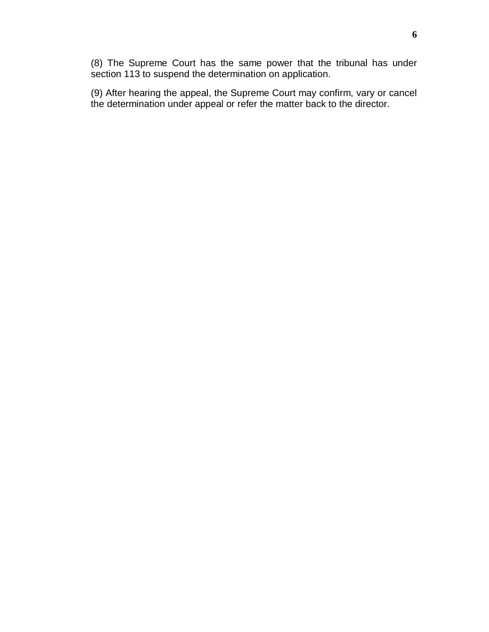(8) The Supreme Court has the same power that the tribunal has under section 113 to suspend the determination on application.

(9) After hearing the appeal, the Supreme Court may confirm, vary or cancel the determination under appeal or refer the matter back to the director.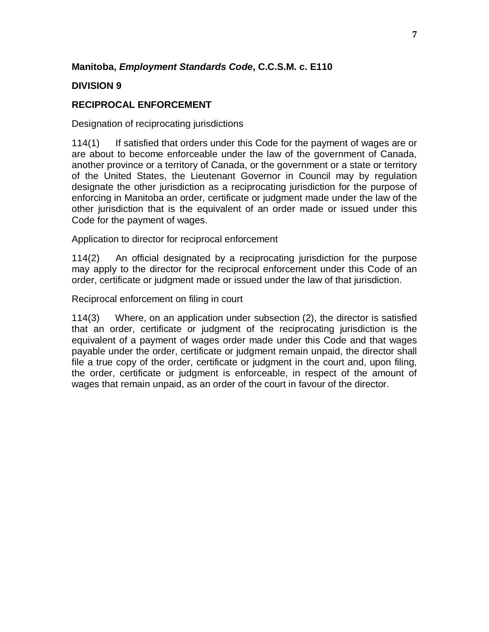# **Manitoba, Employment Standards Code, C.C.S.M. c. E110**

# **DIVISION 9**

# **RECIPROCAL ENFORCEMENT**

Designation of reciprocating jurisdictions

114(1) If satisfied that orders under this Code for the payment of wages are or are about to become enforceable under the law of the government of Canada, another province or a territory of Canada, or the government or a state or territory of the United States, the Lieutenant Governor in Council may by regulation designate the other jurisdiction as a reciprocating jurisdiction for the purpose of enforcing in Manitoba an order, certificate or judgment made under the law of the other jurisdiction that is the equivalent of an order made or issued under this Code for the payment of wages.

Application to director for reciprocal enforcement

114(2) An official designated by a reciprocating jurisdiction for the purpose may apply to the director for the reciprocal enforcement under this Code of an order, certificate or judgment made or issued under the law of that jurisdiction.

Reciprocal enforcement on filing in court

114(3) Where, on an application under subsection (2), the director is satisfied that an order, certificate or judgment of the reciprocating jurisdiction is the equivalent of a payment of wages order made under this Code and that wages payable under the order, certificate or judgment remain unpaid, the director shall file a true copy of the order, certificate or judgment in the court and, upon filing, the order, certificate or judgment is enforceable, in respect of the amount of wages that remain unpaid, as an order of the court in favour of the director.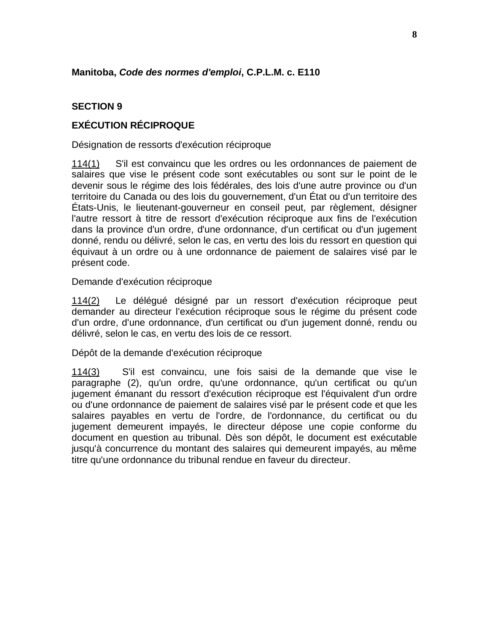# **Manitoba, Code des normes d'emploi, C.P.L.M. c. E110**

# **SECTION 9**

# **EXÉCUTION RÉCIPROQUE**

Désignation de ressorts d'exécution réciproque

114(1) S'il est convaincu que les ordres ou les ordonnances de paiement de salaires que vise le présent code sont exécutables ou sont sur le point de le devenir sous le régime des lois fédérales, des lois d'une autre province ou d'un territoire du Canada ou des lois du gouvernement, d'un État ou d'un territoire des États-Unis, le lieutenant-gouverneur en conseil peut, par règlement, désigner l'autre ressort à titre de ressort d'exécution réciproque aux fins de l'exécution dans la province d'un ordre, d'une ordonnance, d'un certificat ou d'un jugement donné, rendu ou délivré, selon le cas, en vertu des lois du ressort en question qui équivaut à un ordre ou à une ordonnance de paiement de salaires visé par le présent code.

### Demande d'exécution réciproque

114(2) Le délégué désigné par un ressort d'exécution réciproque peut demander au directeur l'exécution réciproque sous le régime du présent code d'un ordre, d'une ordonnance, d'un certificat ou d'un jugement donné, rendu ou délivré, selon le cas, en vertu des lois de ce ressort.

#### Dépôt de la demande d'exécution réciproque

114(3) S'il est convaincu, une fois saisi de la demande que vise le paragraphe (2), qu'un ordre, qu'une ordonnance, qu'un certificat ou qu'un jugement émanant du ressort d'exécution réciproque est l'équivalent d'un ordre ou d'une ordonnance de paiement de salaires visé par le présent code et que les salaires payables en vertu de l'ordre, de l'ordonnance, du certificat ou du jugement demeurent impayés, le directeur dépose une copie conforme du document en question au tribunal. Dès son dépôt, le document est exécutable jusqu'à concurrence du montant des salaires qui demeurent impayés, au même titre qu'une ordonnance du tribunal rendue en faveur du directeur.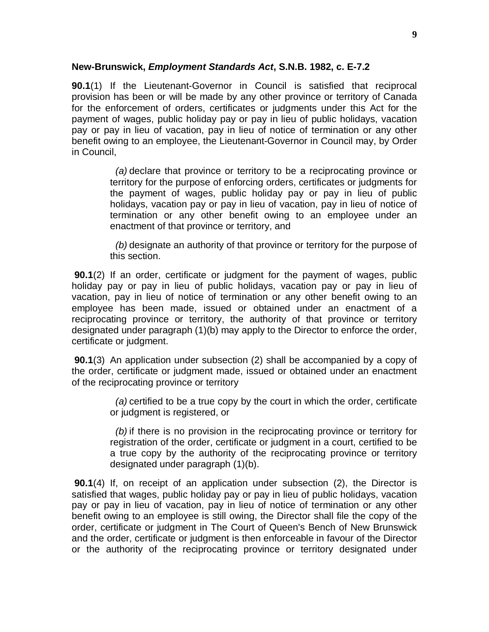### **New-Brunswick, Employment Standards Act, S.N.B. 1982, c. E-7.2**

**90.1**(1) If the Lieutenant-Governor in Council is satisfied that reciprocal provision has been or will be made by any other province or territory of Canada for the enforcement of orders, certificates or judgments under this Act for the payment of wages, public holiday pay or pay in lieu of public holidays, vacation pay or pay in lieu of vacation, pay in lieu of notice of termination or any other benefit owing to an employee, the Lieutenant-Governor in Council may, by Order in Council,

> (a) declare that province or territory to be a reciprocating province or territory for the purpose of enforcing orders, certificates or judgments for the payment of wages, public holiday pay or pay in lieu of public holidays, vacation pay or pay in lieu of vacation, pay in lieu of notice of termination or any other benefit owing to an employee under an enactment of that province or territory, and

> (b) designate an authority of that province or territory for the purpose of this section.

**90.1**(2) If an order, certificate or judgment for the payment of wages, public holiday pay or pay in lieu of public holidays, vacation pay or pay in lieu of vacation, pay in lieu of notice of termination or any other benefit owing to an employee has been made, issued or obtained under an enactment of a reciprocating province or territory, the authority of that province or territory designated under paragraph (1)(b) may apply to the Director to enforce the order, certificate or judgment.

**90.1**(3) An application under subsection (2) shall be accompanied by a copy of the order, certificate or judgment made, issued or obtained under an enactment of the reciprocating province or territory

> (a) certified to be a true copy by the court in which the order, certificate or judgment is registered, or

> (b) if there is no provision in the reciprocating province or territory for registration of the order, certificate or judgment in a court, certified to be a true copy by the authority of the reciprocating province or territory designated under paragraph (1)(b).

**90.1**(4) If, on receipt of an application under subsection (2), the Director is satisfied that wages, public holiday pay or pay in lieu of public holidays, vacation pay or pay in lieu of vacation, pay in lieu of notice of termination or any other benefit owing to an employee is still owing, the Director shall file the copy of the order, certificate or judgment in The Court of Queen's Bench of New Brunswick and the order, certificate or judgment is then enforceable in favour of the Director or the authority of the reciprocating province or territory designated under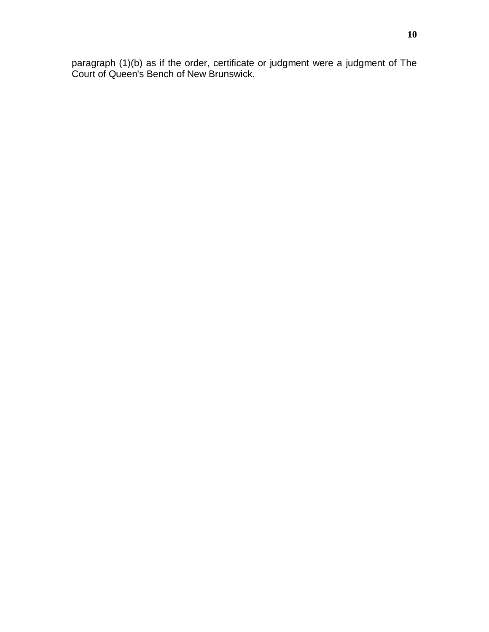paragraph (1)(b) as if the order, certificate or judgment were a judgment of The Court of Queen's Bench of New Brunswick.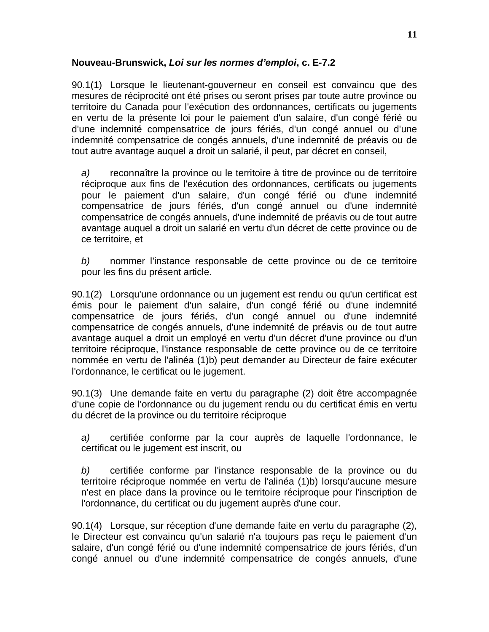# **Nouveau-Brunswick, Loi sur les normes d'emploi, c. E-7.2**

90.1(1) Lorsque le lieutenant-gouverneur en conseil est convaincu que des mesures de réciprocité ont été prises ou seront prises par toute autre province ou territoire du Canada pour l'exécution des ordonnances, certificats ou jugements en vertu de la présente loi pour le paiement d'un salaire, d'un congé férié ou d'une indemnité compensatrice de jours fériés, d'un congé annuel ou d'une indemnité compensatrice de congés annuels, d'une indemnité de préavis ou de tout autre avantage auquel a droit un salarié, il peut, par décret en conseil,

a) reconnaître la province ou le territoire à titre de province ou de territoire réciproque aux fins de l'exécution des ordonnances, certificats ou jugements pour le paiement d'un salaire, d'un congé férié ou d'une indemnité compensatrice de jours fériés, d'un congé annuel ou d'une indemnité compensatrice de congés annuels, d'une indemnité de préavis ou de tout autre avantage auquel a droit un salarié en vertu d'un décret de cette province ou de ce territoire, et

b) nommer l'instance responsable de cette province ou de ce territoire pour les fins du présent article.

90.1(2) Lorsqu'une ordonnance ou un jugement est rendu ou qu'un certificat est émis pour le paiement d'un salaire, d'un congé férié ou d'une indemnité compensatrice de jours fériés, d'un congé annuel ou d'une indemnité compensatrice de congés annuels, d'une indemnité de préavis ou de tout autre avantage auquel a droit un employé en vertu d'un décret d'une province ou d'un territoire réciproque, l'instance responsable de cette province ou de ce territoire nommée en vertu de l'alinéa (1)b) peut demander au Directeur de faire exécuter l'ordonnance, le certificat ou le jugement.

90.1(3) Une demande faite en vertu du paragraphe (2) doit être accompagnée d'une copie de l'ordonnance ou du jugement rendu ou du certificat émis en vertu du décret de la province ou du territoire réciproque

a) certifiée conforme par la cour auprès de laquelle l'ordonnance, le certificat ou le jugement est inscrit, ou

b) certifiée conforme par l'instance responsable de la province ou du territoire réciproque nommée en vertu de l'alinéa (1)b) lorsqu'aucune mesure n'est en place dans la province ou le territoire réciproque pour l'inscription de l'ordonnance, du certificat ou du jugement auprès d'une cour.

90.1(4) Lorsque, sur réception d'une demande faite en vertu du paragraphe (2), le Directeur est convaincu qu'un salarié n'a toujours pas reçu le paiement d'un salaire, d'un congé férié ou d'une indemnité compensatrice de jours fériés, d'un congé annuel ou d'une indemnité compensatrice de congés annuels, d'une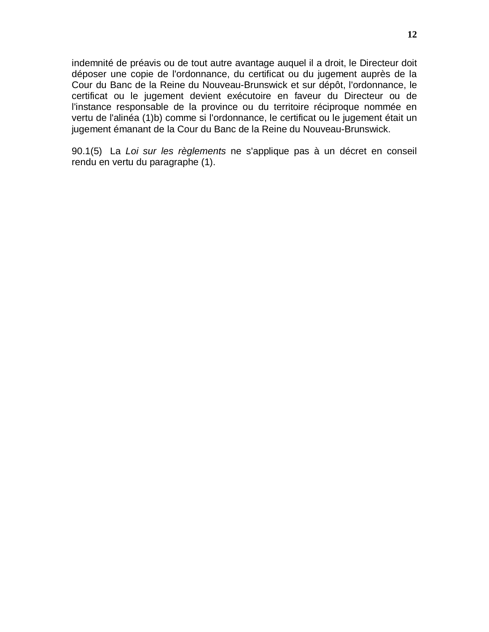indemnité de préavis ou de tout autre avantage auquel il a droit, le Directeur doit déposer une copie de l'ordonnance, du certificat ou du jugement auprès de la Cour du Banc de la Reine du Nouveau-Brunswick et sur dépôt, l'ordonnance, le certificat ou le jugement devient exécutoire en faveur du Directeur ou de l'instance responsable de la province ou du territoire réciproque nommée en vertu de l'alinéa (1)b) comme si l'ordonnance, le certificat ou le jugement était un jugement émanant de la Cour du Banc de la Reine du Nouveau-Brunswick.

90.1(5) La Loi sur les règlements ne s'applique pas à un décret en conseil rendu en vertu du paragraphe (1).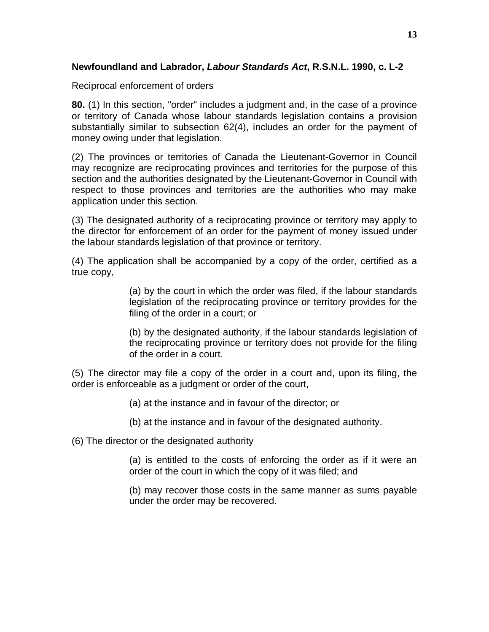## **Newfoundland and Labrador, Labour Standards Act, R.S.N.L. 1990, c. L-2**

Reciprocal enforcement of orders

**80.** (1) In this section, "order" includes a judgment and, in the case of a province or territory of Canada whose labour standards legislation contains a provision substantially similar to subsection 62(4), includes an order for the payment of money owing under that legislation.

(2) The provinces or territories of Canada the Lieutenant-Governor in Council may recognize are reciprocating provinces and territories for the purpose of this section and the authorities designated by the Lieutenant-Governor in Council with respect to those provinces and territories are the authorities who may make application under this section.

(3) The designated authority of a reciprocating province or territory may apply to the director for enforcement of an order for the payment of money issued under the labour standards legislation of that province or territory.

(4) The application shall be accompanied by a copy of the order, certified as a true copy,

> (a) by the court in which the order was filed, if the labour standards legislation of the reciprocating province or territory provides for the filing of the order in a court; or

> (b) by the designated authority, if the labour standards legislation of the reciprocating province or territory does not provide for the filing of the order in a court.

(5) The director may file a copy of the order in a court and, upon its filing, the order is enforceable as a judgment or order of the court,

(a) at the instance and in favour of the director; or

(b) at the instance and in favour of the designated authority.

(6) The director or the designated authority

(a) is entitled to the costs of enforcing the order as if it were an order of the court in which the copy of it was filed; and

(b) may recover those costs in the same manner as sums payable under the order may be recovered.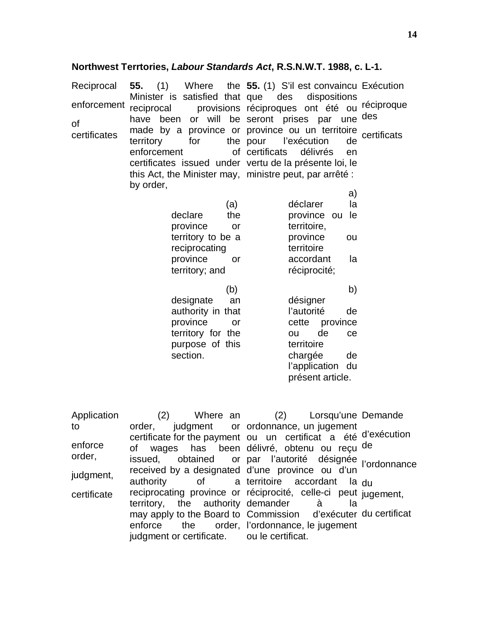| Application |                                            | (2) Where an (2) Lorsqu'une Demande                                                                         |  |
|-------------|--------------------------------------------|-------------------------------------------------------------------------------------------------------------|--|
| to          |                                            | order, judgment or ordonnance, un jugement                                                                  |  |
|             |                                            | certificate for the payment ou un certificat a été d'exécution                                              |  |
| enforce     |                                            | of wages has been délivré, obtenu ou reçu de                                                                |  |
| order,      |                                            | issued, obtained or par l'autorité désignée l'ordonnance<br>received by a designated d'une province ou d'un |  |
| judgment,   |                                            |                                                                                                             |  |
|             |                                            | authority of a territoire accordant la du                                                                   |  |
| certificate |                                            | reciprocating province or réciprocité, celle-ci peut jugement,                                              |  |
|             |                                            | territory, the authority demander a a                                                                       |  |
|             |                                            | may apply to the Board to Commission d'exécuter du certificat                                               |  |
|             |                                            | enforce the order, l'ordonnance, le jugement                                                                |  |
|             | judgment or certificate. ou le certificat. |                                                                                                             |  |
|             |                                            |                                                                                                             |  |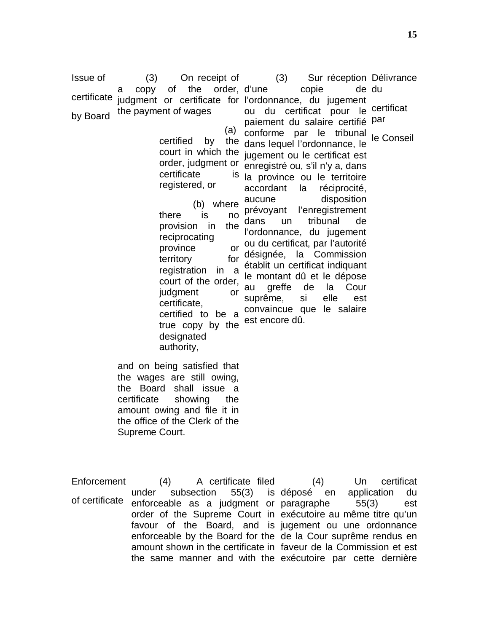Issue of certificate by Board (3) On receipt of a copy of the order, judgment or certificate for the payment of wages

> (a) certified by certificate registered, or

(b) where there is no provision in the reciprocating province territory for registration in a court of the order, judgment or certificate, certified to be a true copy by the designated authority,

court in which the jugement ou le certificat est order, judgment or enregistré ou, s'il n'y a, dans (3) Sur réception Délivrance d'une copie de l'ordonnance, du jugement ou du certificat pour le certificat paiement du salaire certifié <sup>par</sup> conforme par le tribunal the dans lequel l'ordonnance, le is la province ou le territoire accordant la réciprocité, aucune disposition<br>prévoyant l'enregistrement l'enregistrement dans un tribunal de l'ordonnance, du jugement or ou du certificat, par l'autorité désignée, la Commission établit un certificat indiquant le montant dû et le dépose au greffe de la Cour suprême, si elle est convaincue que le salaire est encore dû. de du

le Conseil

and on being satisfied that the wages are still owing, the Board shall issue a certificate showing the amount owing and file it in the office of the Clerk of the Supreme Court.

Enforcement of certificate (4) A certificate filed under subsection 55(3) is enforceable as a judgment or paragraphe 55(3) est order of the Supreme Court in exécutoire au même titre qu'un favour of the Board, and is jugement ou une ordonnance enforceable by the Board for the de la Cour suprême rendus en amount shown in the certificate in faveur de la Commission et est the same manner and with the exécutoire par cette dernière(4) Un certificat en application du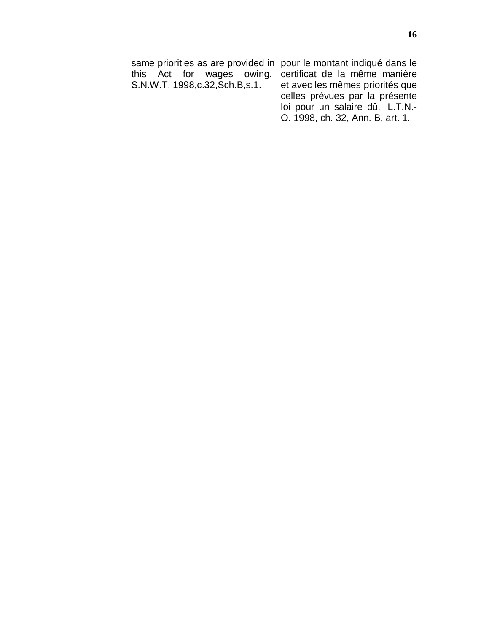same priorities as are provided in pour le montant indiqué dans le this Act for wages owing. certificat de la même manière S.N.W.T. 1998,c.32,Sch.B,s.1. et avec les mêmes priorités que celles prévues par la présente loi pour un salaire dû. L.T.N.-

O. 1998, ch. 32, Ann. B, art. 1.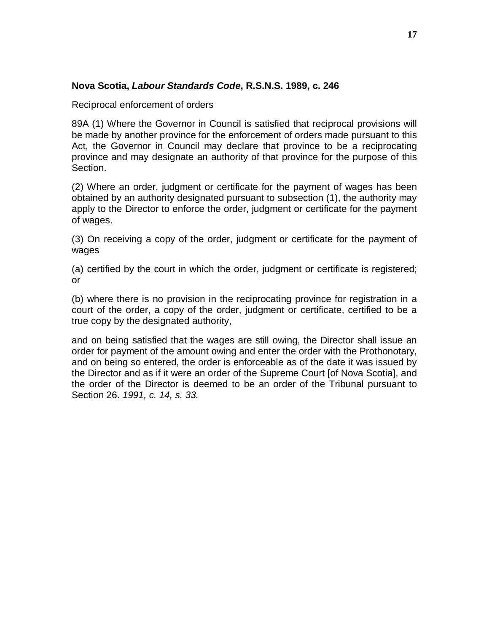#### **Nova Scotia, Labour Standards Code, R.S.N.S. 1989, c. 246**

Reciprocal enforcement of orders

89A (1) Where the Governor in Council is satisfied that reciprocal provisions will be made by another province for the enforcement of orders made pursuant to this Act, the Governor in Council may declare that province to be a reciprocating province and may designate an authority of that province for the purpose of this Section.

(2) Where an order, judgment or certificate for the payment of wages has been obtained by an authority designated pursuant to subsection (1), the authority may apply to the Director to enforce the order, judgment or certificate for the payment of wages.

(3) On receiving a copy of the order, judgment or certificate for the payment of wages

(a) certified by the court in which the order, judgment or certificate is registered; or

(b) where there is no provision in the reciprocating province for registration in a court of the order, a copy of the order, judgment or certificate, certified to be a true copy by the designated authority,

and on being satisfied that the wages are still owing, the Director shall issue an order for payment of the amount owing and enter the order with the Prothonotary, and on being so entered, the order is enforceable as of the date it was issued by the Director and as if it were an order of the Supreme Court [of Nova Scotia], and the order of the Director is deemed to be an order of the Tribunal pursuant to Section 26. 1991, c. 14, s. 33.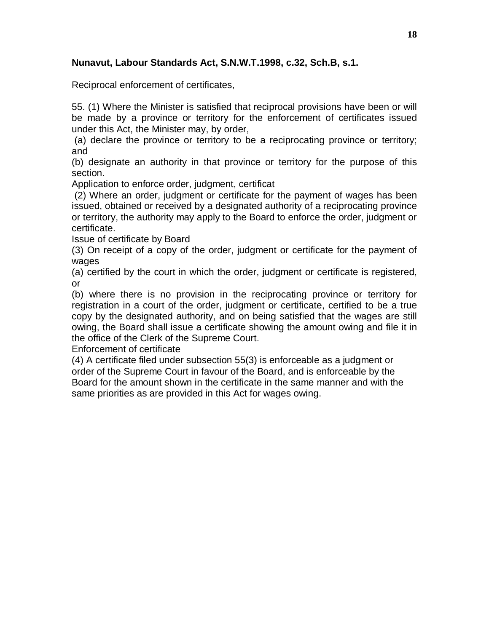# **Nunavut, Labour Standards Act, S.N.W.T.1998, c.32, Sch.B, s.1.**

Reciprocal enforcement of certificates,

55. (1) Where the Minister is satisfied that reciprocal provisions have been or will be made by a province or territory for the enforcement of certificates issued under this Act, the Minister may, by order,

(a) declare the province or territory to be a reciprocating province or territory; and

(b) designate an authority in that province or territory for the purpose of this section.

Application to enforce order, judgment, certificat

(2) Where an order, judgment or certificate for the payment of wages has been issued, obtained or received by a designated authority of a reciprocating province or territory, the authority may apply to the Board to enforce the order, judgment or certificate.

Issue of certificate by Board

(3) On receipt of a copy of the order, judgment or certificate for the payment of wages

(a) certified by the court in which the order, judgment or certificate is registered, or

(b) where there is no provision in the reciprocating province or territory for registration in a court of the order, judgment or certificate, certified to be a true copy by the designated authority, and on being satisfied that the wages are still owing, the Board shall issue a certificate showing the amount owing and file it in the office of the Clerk of the Supreme Court.

Enforcement of certificate

(4) A certificate filed under subsection 55(3) is enforceable as a judgment or order of the Supreme Court in favour of the Board, and is enforceable by the Board for the amount shown in the certificate in the same manner and with the same priorities as are provided in this Act for wages owing.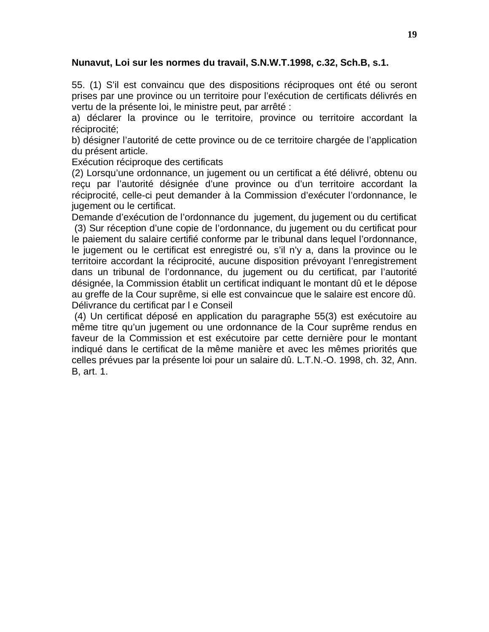## **Nunavut, Loi sur les normes du travail, S.N.W.T.1998, c.32, Sch.B, s.1.**

55. (1) S'il est convaincu que des dispositions réciproques ont été ou seront prises par une province ou un territoire pour l'exécution de certificats délivrés en vertu de la présente loi, le ministre peut, par arrêté :

a) déclarer la province ou le territoire, province ou territoire accordant la réciprocité;

b) désigner l'autorité de cette province ou de ce territoire chargée de l'application du présent article.

Exécution réciproque des certificats

(2) Lorsqu'une ordonnance, un jugement ou un certificat a été délivré, obtenu ou reçu par l'autorité désignée d'une province ou d'un territoire accordant la réciprocité, celle-ci peut demander à la Commission d'exécuter l'ordonnance, le jugement ou le certificat.

Demande d'exécution de l'ordonnance du jugement, du jugement ou du certificat (3) Sur réception d'une copie de l'ordonnance, du jugement ou du certificat pour le paiement du salaire certifié conforme par le tribunal dans lequel l'ordonnance, le jugement ou le certificat est enregistré ou, s'il n'y a, dans la province ou le territoire accordant la réciprocité, aucune disposition prévoyant l'enregistrement dans un tribunal de l'ordonnance, du jugement ou du certificat, par l'autorité désignée, la Commission établit un certificat indiquant le montant dû et le dépose au greffe de la Cour suprême, si elle est convaincue que le salaire est encore dû. Délivrance du certificat par l e Conseil

(4) Un certificat déposé en application du paragraphe 55(3) est exécutoire au même titre qu'un jugement ou une ordonnance de la Cour suprême rendus en faveur de la Commission et est exécutoire par cette dernière pour le montant indiqué dans le certificat de la même manière et avec les mêmes priorités que celles prévues par la présente loi pour un salaire dû. L.T.N.-O. 1998, ch. 32, Ann. B, art. 1.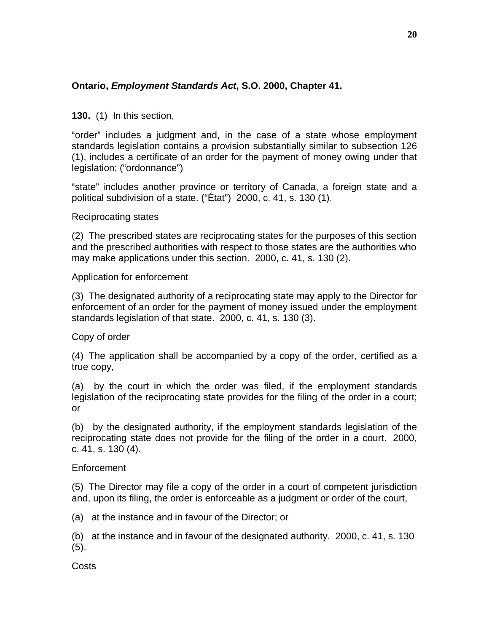# **Ontario, Employment Standards Act, S.O. 2000, Chapter 41.**

**130.** (1) In this section,

"order" includes a judgment and, in the case of a state whose employment standards legislation contains a provision substantially similar to subsection 126 (1), includes a certificate of an order for the payment of money owing under that legislation; ("ordonnance")

"state" includes another province or territory of Canada, a foreign state and a political subdivision of a state. ("État") 2000, c. 41, s. 130 (1).

Reciprocating states

(2) The prescribed states are reciprocating states for the purposes of this section and the prescribed authorities with respect to those states are the authorities who may make applications under this section. 2000, c. 41, s. 130 (2).

Application for enforcement

(3) The designated authority of a reciprocating state may apply to the Director for enforcement of an order for the payment of money issued under the employment standards legislation of that state. 2000, c. 41, s. 130 (3).

Copy of order

(4) The application shall be accompanied by a copy of the order, certified as a true copy,

(a) by the court in which the order was filed, if the employment standards legislation of the reciprocating state provides for the filing of the order in a court; or

(b) by the designated authority, if the employment standards legislation of the reciprocating state does not provide for the filing of the order in a court. 2000, c. 41, s. 130 (4).

## Enforcement

(5) The Director may file a copy of the order in a court of competent jurisdiction and, upon its filing, the order is enforceable as a judgment or order of the court,

(a) at the instance and in favour of the Director; or

(b) at the instance and in favour of the designated authority. 2000, c. 41, s. 130 (5).

**Costs**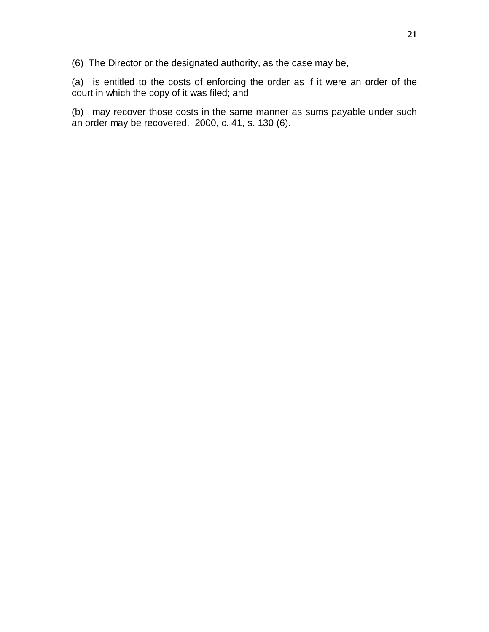(6) The Director or the designated authority, as the case may be,

(a) is entitled to the costs of enforcing the order as if it were an order of the court in which the copy of it was filed; and

(b) may recover those costs in the same manner as sums payable under such an order may be recovered. 2000, c. 41, s. 130 (6).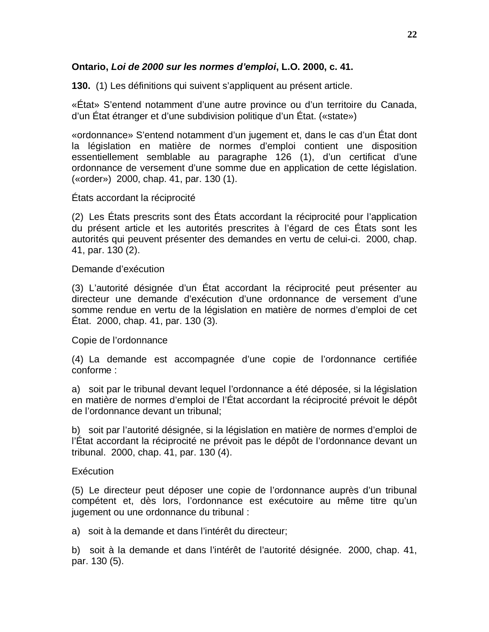## **Ontario, Loi de 2000 sur les normes d'emploi, L.O. 2000, c. 41.**

**130.** (1) Les définitions qui suivent s'appliquent au présent article.

«État» S'entend notamment d'une autre province ou d'un territoire du Canada, d'un État étranger et d'une subdivision politique d'un État. («state»)

«ordonnance» S'entend notamment d'un jugement et, dans le cas d'un État dont la législation en matière de normes d'emploi contient une disposition essentiellement semblable au paragraphe 126 (1), d'un certificat d'une ordonnance de versement d'une somme due en application de cette législation. («order») 2000, chap. 41, par. 130 (1).

États accordant la réciprocité

(2) Les États prescrits sont des États accordant la réciprocité pour l'application du présent article et les autorités prescrites à l'égard de ces États sont les autorités qui peuvent présenter des demandes en vertu de celui-ci. 2000, chap. 41, par. 130 (2).

Demande d'exécution

(3) L'autorité désignée d'un État accordant la réciprocité peut présenter au directeur une demande d'exécution d'une ordonnance de versement d'une somme rendue en vertu de la législation en matière de normes d'emploi de cet État. 2000, chap. 41, par. 130 (3).

Copie de l'ordonnance

(4) La demande est accompagnée d'une copie de l'ordonnance certifiée conforme :

a) soit par le tribunal devant lequel l'ordonnance a été déposée, si la législation en matière de normes d'emploi de l'État accordant la réciprocité prévoit le dépôt de l'ordonnance devant un tribunal;

b) soit par l'autorité désignée, si la législation en matière de normes d'emploi de l'État accordant la réciprocité ne prévoit pas le dépôt de l'ordonnance devant un tribunal. 2000, chap. 41, par. 130 (4).

#### **Exécution**

(5) Le directeur peut déposer une copie de l'ordonnance auprès d'un tribunal compétent et, dès lors, l'ordonnance est exécutoire au même titre qu'un jugement ou une ordonnance du tribunal :

a) soit à la demande et dans l'intérêt du directeur;

b) soit à la demande et dans l'intérêt de l'autorité désignée. 2000, chap. 41, par. 130 (5).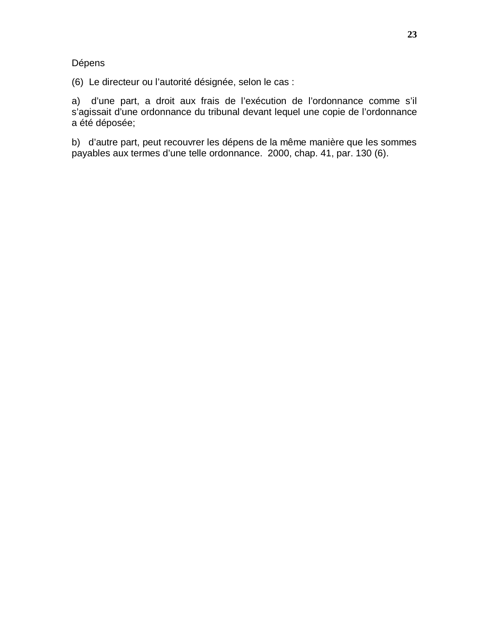Dépens

(6) Le directeur ou l'autorité désignée, selon le cas :

a) d'une part, a droit aux frais de l'exécution de l'ordonnance comme s'il s'agissait d'une ordonnance du tribunal devant lequel une copie de l'ordonnance a été déposée;

b) d'autre part, peut recouvrer les dépens de la même manière que les sommes payables aux termes d'une telle ordonnance. 2000, chap. 41, par. 130 (6).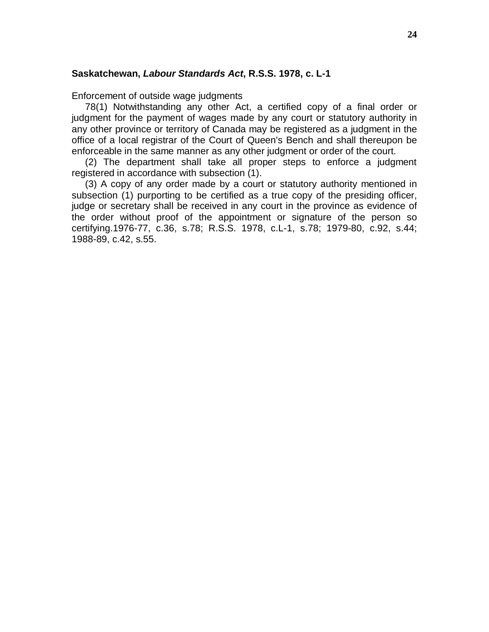#### **Saskatchewan, Labour Standards Act, R.S.S. 1978, c. L-1**

Enforcement of outside wage judgments

78(1) Notwithstanding any other Act, a certified copy of a final order or judgment for the payment of wages made by any court or statutory authority in any other province or territory of Canada may be registered as a judgment in the office of a local registrar of the Court of Queen's Bench and shall thereupon be enforceable in the same manner as any other judgment or order of the court.

(2) The department shall take all proper steps to enforce a judgment registered in accordance with subsection (1).

(3) A copy of any order made by a court or statutory authority mentioned in subsection (1) purporting to be certified as a true copy of the presiding officer, judge or secretary shall be received in any court in the province as evidence of the order without proof of the appointment or signature of the person so certifying.1976-77, c.36, s.78; R.S.S. 1978, c.L-1, s.78; 1979-80, c.92, s.44; 1988-89, c.42, s.55.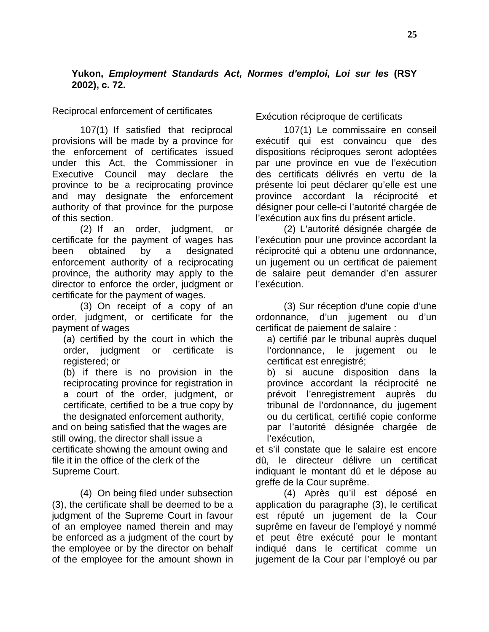## **Yukon, Employment Standards Act, Normes d'emploi, Loi sur les (RSY 2002), c. 72.**

Reciprocal enforcement of certificates

107(1) If satisfied that reciprocal provisions will be made by a province for the enforcement of certificates issued under this Act, the Commissioner in Executive Council may declare the province to be a reciprocating province and may designate the enforcement authority of that province for the purpose of this section.

(2) If an order, judgment, or certificate for the payment of wages has been obtained by a designated enforcement authority of a reciprocating province, the authority may apply to the director to enforce the order, judgment or certificate for the payment of wages.

(3) On receipt of a copy of an order, judgment, or certificate for the payment of wages

(a) certified by the court in which the order, judgment or certificate is registered; or

(b) if there is no provision in the reciprocating province for registration in a court of the order, judgment, or certificate, certified to be a true copy by the designated enforcement authority,

and on being satisfied that the wages are still owing, the director shall issue a certificate showing the amount owing and file it in the office of the clerk of the Supreme Court.

(4) On being filed under subsection (3), the certificate shall be deemed to be a judgment of the Supreme Court in favour of an employee named therein and may be enforced as a judgment of the court by the employee or by the director on behalf of the employee for the amount shown in Exécution réciproque de certificats

107(1) Le commissaire en conseil exécutif qui est convaincu que des dispositions réciproques seront adoptées par une province en vue de l'exécution des certificats délivrés en vertu de la présente loi peut déclarer qu'elle est une province accordant la réciprocité et désigner pour celle-ci l'autorité chargée de l'exécution aux fins du présent article.

(2) L'autorité désignée chargée de l'exécution pour une province accordant la réciprocité qui a obtenu une ordonnance, un jugement ou un certificat de paiement de salaire peut demander d'en assurer l'exécution.

(3) Sur réception d'une copie d'une ordonnance, d'un jugement ou d'un certificat de paiement de salaire :

a) certifié par le tribunal auprès duquel l'ordonnance, le jugement ou le certificat est enregistré;

b) si aucune disposition dans la province accordant la réciprocité ne prévoit l'enregistrement auprès du tribunal de l'ordonnance, du jugement ou du certificat, certifié copie conforme par l'autorité désignée chargée de l'exécution,

et s'il constate que le salaire est encore dû, le directeur délivre un certificat indiquant le montant dû et le dépose au greffe de la Cour suprême.

(4) Après qu'il est déposé en application du paragraphe (3), le certificat est réputé un jugement de la Cour suprême en faveur de l'employé y nommé et peut être exécuté pour le montant indiqué dans le certificat comme un jugement de la Cour par l'employé ou par